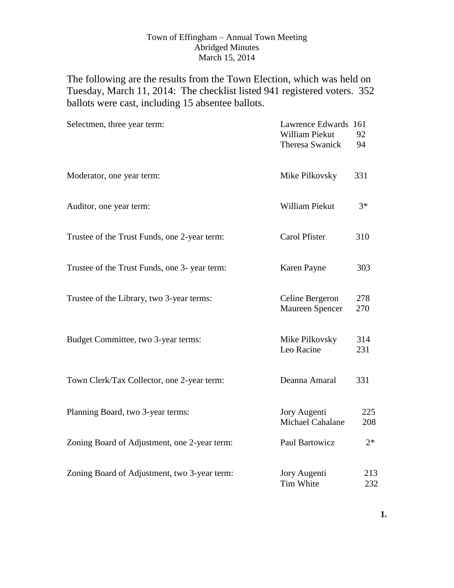## Town of Effingham – Annual Town Meeting Abridged Minutes March 15, 2014

The following are the results from the Town Election, which was held on Tuesday, March 11, 2014: The checklist listed 941 registered voters. 352 ballots were cast, including 15 absentee ballots.

| Selectmen, three year term:                   | Lawrence Edwards 161<br>William Piekut<br><b>Theresa Swanick</b> | 92<br>94   |
|-----------------------------------------------|------------------------------------------------------------------|------------|
| Moderator, one year term:                     | Mike Pilkovsky                                                   | 331        |
| Auditor, one year term:                       | William Piekut                                                   | $3*$       |
| Trustee of the Trust Funds, one 2-year term:  | <b>Carol Pfister</b>                                             | 310        |
| Trustee of the Trust Funds, one 3- year term: | Karen Payne                                                      | 303        |
| Trustee of the Library, two 3-year terms:     | Celine Bergeron<br>Maureen Spencer                               | 278<br>270 |
| Budget Committee, two 3-year terms:           | Mike Pilkovsky<br>Leo Racine                                     | 314<br>231 |
| Town Clerk/Tax Collector, one 2-year term:    | Deanna Amaral                                                    | 331        |
| Planning Board, two 3-year terms:             | Jory Augenti<br>Michael Cahalane                                 | 225<br>208 |
| Zoning Board of Adjustment, one 2-year term:  | <b>Paul Bartowicz</b>                                            | $2*$       |
| Zoning Board of Adjustment, two 3-year term:  | Jory Augenti<br>Tim White                                        | 213<br>232 |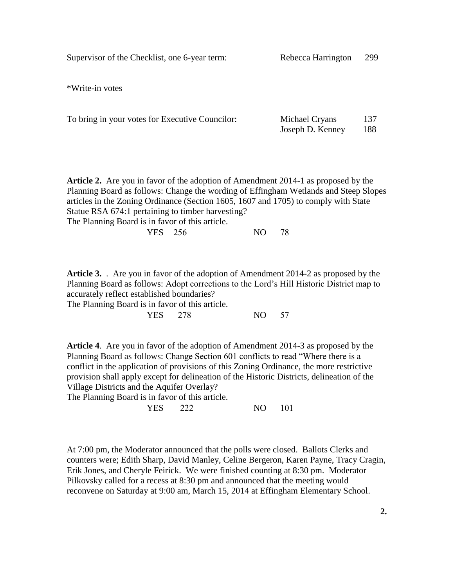Supervisor of the Checklist, one 6-year term: Rebecca Harrington 299

\*Write-in votes

| To bring in your votes for Executive Councilor: | Michael Cryans   | 137 |
|-------------------------------------------------|------------------|-----|
|                                                 | Joseph D. Kenney | 188 |

**Article 2.** Are you in favor of the adoption of Amendment 2014-1 as proposed by the Planning Board as follows: Change the wording of Effingham Wetlands and Steep Slopes articles in the Zoning Ordinance (Section 1605, 1607 and 1705) to comply with State Statue RSA 674:1 pertaining to timber harvesting? The Planning Board is in favor of this article. YES 256 NO 78

**Article 3.** . Are you in favor of the adoption of Amendment 2014-2 as proposed by the Planning Board as follows: Adopt corrections to the Lord's Hill Historic District map to accurately reflect established boundaries?

The Planning Board is in favor of this article. YES 278 NO 57

**Article 4**. Are you in favor of the adoption of Amendment 2014-3 as proposed by the Planning Board as follows: Change Section 601 conflicts to read "Where there is a conflict in the application of provisions of this Zoning Ordinance, the more restrictive provision shall apply except for delineation of the Historic Districts, delineation of the Village Districts and the Aquifer Overlay?

The Planning Board is in favor of this article.

YES 222 NO 101

At 7:00 pm, the Moderator announced that the polls were closed. Ballots Clerks and counters were; Edith Sharp, David Manley, Celine Bergeron, Karen Payne, Tracy Cragin, Erik Jones, and Cheryle Feirick. We were finished counting at 8:30 pm. Moderator Pilkovsky called for a recess at 8:30 pm and announced that the meeting would reconvene on Saturday at 9:00 am, March 15, 2014 at Effingham Elementary School.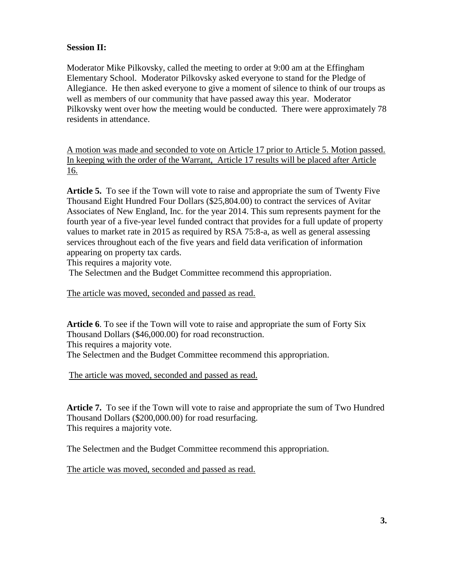## **Session II:**

Moderator Mike Pilkovsky, called the meeting to order at 9:00 am at the Effingham Elementary School. Moderator Pilkovsky asked everyone to stand for the Pledge of Allegiance. He then asked everyone to give a moment of silence to think of our troups as well as members of our community that have passed away this year. Moderator Pilkovsky went over how the meeting would be conducted. There were approximately 78 residents in attendance.

A motion was made and seconded to vote on Article 17 prior to Article 5. Motion passed. In keeping with the order of the Warrant, Article 17 results will be placed after Article 16.

**Article 5.** To see if the Town will vote to raise and appropriate the sum of Twenty Five Thousand Eight Hundred Four Dollars (\$25,804.00) to contract the services of Avitar Associates of New England, Inc. for the year 2014. This sum represents payment for the fourth year of a five-year level funded contract that provides for a full update of property values to market rate in 2015 as required by RSA 75:8-a, as well as general assessing services throughout each of the five years and field data verification of information appearing on property tax cards.

This requires a majority vote.

The Selectmen and the Budget Committee recommend this appropriation.

The article was moved, seconded and passed as read.

**Article 6**. To see if the Town will vote to raise and appropriate the sum of Forty Six Thousand Dollars (\$46,000.00) for road reconstruction. This requires a majority vote. The Selectmen and the Budget Committee recommend this appropriation.

The article was moved, seconded and passed as read.

**Article 7.** To see if the Town will vote to raise and appropriate the sum of Two Hundred Thousand Dollars (\$200,000.00) for road resurfacing. This requires a majority vote.

The Selectmen and the Budget Committee recommend this appropriation.

The article was moved, seconded and passed as read.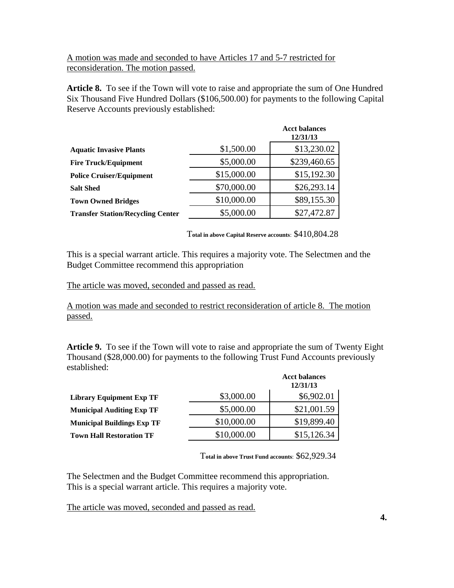A motion was made and seconded to have Articles 17 and 5-7 restricted for reconsideration. The motion passed.

**Article 8.** To see if the Town will vote to raise and appropriate the sum of One Hundred Six Thousand Five Hundred Dollars (\$106,500.00) for payments to the following Capital Reserve Accounts previously established:

|                                          |             | <b>Acct balances</b><br>12/31/13 |
|------------------------------------------|-------------|----------------------------------|
| <b>Aquatic Invasive Plants</b>           | \$1,500.00  | \$13,230.02                      |
| <b>Fire Truck/Equipment</b>              | \$5,000.00  | \$239,460.65                     |
| <b>Police Cruiser/Equipment</b>          | \$15,000.00 | \$15,192.30                      |
| <b>Salt Shed</b>                         | \$70,000.00 | \$26,293.14                      |
| <b>Town Owned Bridges</b>                | \$10,000.00 | \$89,155.30                      |
| <b>Transfer Station/Recycling Center</b> | \$5,000.00  | \$27,472.87                      |
|                                          |             |                                  |

T**otal in above Capital Reserve accounts**: \$410,804.28

This is a special warrant article. This requires a majority vote. The Selectmen and the Budget Committee recommend this appropriation

The article was moved, seconded and passed as read.

A motion was made and seconded to restrict reconsideration of article 8. The motion passed.

**Article 9.** To see if the Town will vote to raise and appropriate the sum of Twenty Eight Thousand (\$28,000.00) for payments to the following Trust Fund Accounts previously established:

|                                   |             | <b>Acct balances</b><br>12/31/13 |
|-----------------------------------|-------------|----------------------------------|
| <b>Library Equipment Exp TF</b>   | \$3,000.00  | \$6,902.01                       |
| <b>Municipal Auditing Exp TF</b>  | \$5,000.00  | \$21,001.59                      |
| <b>Municipal Buildings Exp TF</b> | \$10,000.00 | \$19,899.40                      |
| <b>Town Hall Restoration TF</b>   | \$10,000.00 | \$15,126.34                      |

T**otal in above Trust Fund accounts**: \$62,929.34

The Selectmen and the Budget Committee recommend this appropriation. This is a special warrant article. This requires a majority vote.

The article was moved, seconded and passed as read.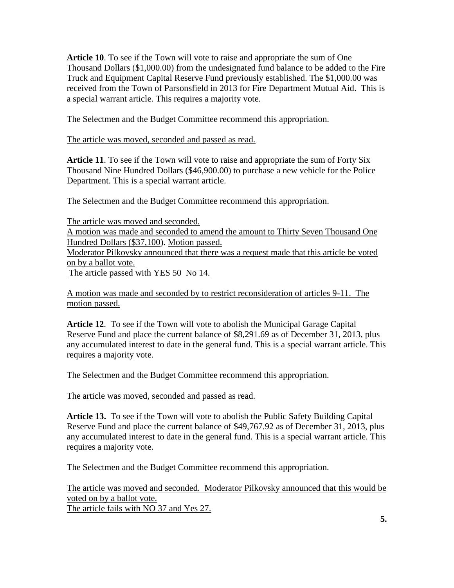**Article 10**. To see if the Town will vote to raise and appropriate the sum of One Thousand Dollars (\$1,000.00) from the undesignated fund balance to be added to the Fire Truck and Equipment Capital Reserve Fund previously established. The \$1,000.00 was received from the Town of Parsonsfield in 2013 for Fire Department Mutual Aid. This is a special warrant article. This requires a majority vote.

The Selectmen and the Budget Committee recommend this appropriation.

The article was moved, seconded and passed as read.

**Article 11**. To see if the Town will vote to raise and appropriate the sum of Forty Six Thousand Nine Hundred Dollars (\$46,900.00) to purchase a new vehicle for the Police Department. This is a special warrant article.

The Selectmen and the Budget Committee recommend this appropriation.

The article was moved and seconded.

A motion was made and seconded to amend the amount to Thirty Seven Thousand One Hundred Dollars (\$37,100). Motion passed.

Moderator Pilkovsky announced that there was a request made that this article be voted on by a ballot vote.

The article passed with YES 50 No 14.

A motion was made and seconded by to restrict reconsideration of articles 9-11. The motion passed.

**Article 12**. To see if the Town will vote to abolish the Municipal Garage Capital Reserve Fund and place the current balance of \$8,291.69 as of December 31, 2013, plus any accumulated interest to date in the general fund. This is a special warrant article. This requires a majority vote.

The Selectmen and the Budget Committee recommend this appropriation.

The article was moved, seconded and passed as read.

**Article 13.** To see if the Town will vote to abolish the Public Safety Building Capital Reserve Fund and place the current balance of \$49,767.92 as of December 31, 2013, plus any accumulated interest to date in the general fund. This is a special warrant article. This requires a majority vote.

The Selectmen and the Budget Committee recommend this appropriation.

The article was moved and seconded. Moderator Pilkovsky announced that this would be voted on by a ballot vote. The article fails with NO 37 and Yes 27.

**5.**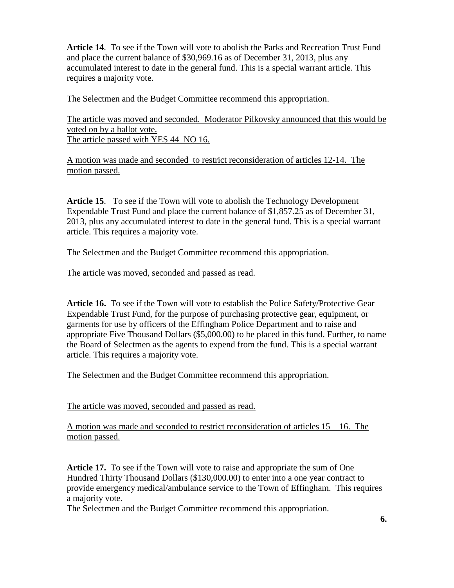**Article 14**. To see if the Town will vote to abolish the Parks and Recreation Trust Fund and place the current balance of \$30,969.16 as of December 31, 2013, plus any accumulated interest to date in the general fund. This is a special warrant article. This requires a majority vote.

The Selectmen and the Budget Committee recommend this appropriation.

The article was moved and seconded. Moderator Pilkovsky announced that this would be voted on by a ballot vote. The article passed with YES 44 NO 16.

A motion was made and seconded to restrict reconsideration of articles 12-14. The motion passed.

**Article 15**. To see if the Town will vote to abolish the Technology Development Expendable Trust Fund and place the current balance of \$1,857.25 as of December 31, 2013, plus any accumulated interest to date in the general fund. This is a special warrant article. This requires a majority vote.

The Selectmen and the Budget Committee recommend this appropriation.

The article was moved, seconded and passed as read.

**Article 16.** To see if the Town will vote to establish the Police Safety/Protective Gear Expendable Trust Fund, for the purpose of purchasing protective gear, equipment, or garments for use by officers of the Effingham Police Department and to raise and appropriate Five Thousand Dollars (\$5,000.00) to be placed in this fund. Further, to name the Board of Selectmen as the agents to expend from the fund. This is a special warrant article. This requires a majority vote.

The Selectmen and the Budget Committee recommend this appropriation.

The article was moved, seconded and passed as read.

A motion was made and seconded to restrict reconsideration of articles 15 – 16. The motion passed.

**Article 17.** To see if the Town will vote to raise and appropriate the sum of One Hundred Thirty Thousand Dollars (\$130,000.00) to enter into a one year contract to provide emergency medical/ambulance service to the Town of Effingham. This requires a majority vote.

The Selectmen and the Budget Committee recommend this appropriation.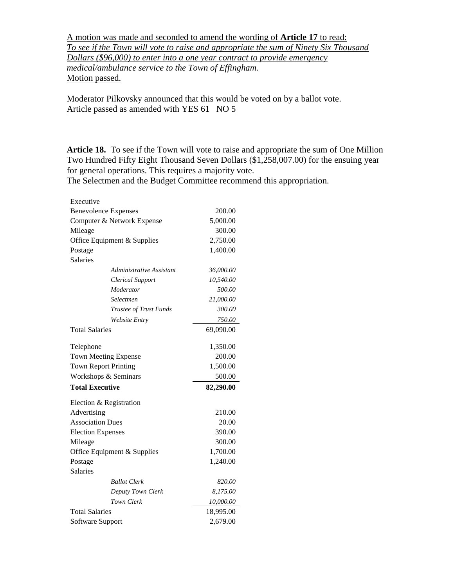A motion was made and seconded to amend the wording of **Article 17** to read: *To see if the Town will vote to raise and appropriate the sum of Ninety Six Thousand Dollars (\$96,000) to enter into a one year contract to provide emergency medical/ambulance service to the Town of Effingham.* Motion passed.

Moderator Pilkovsky announced that this would be voted on by a ballot vote. Article passed as amended with YES 61 NO 5

**Article 18.** To see if the Town will vote to raise and appropriate the sum of One Million Two Hundred Fifty Eight Thousand Seven Dollars (\$1,258,007.00) for the ensuing year for general operations. This requires a majority vote.

The Selectmen and the Budget Committee recommend this appropriation.

| Executive                |                             |           |
|--------------------------|-----------------------------|-----------|
|                          | <b>Benevolence Expenses</b> | 200.00    |
|                          | Computer & Network Expense  | 5,000.00  |
| Mileage                  |                             | 300.00    |
|                          | Office Equipment & Supplies | 2,750.00  |
| Postage                  |                             | 1,400.00  |
| Salaries                 |                             |           |
|                          | Administrative Assistant    | 36,000.00 |
|                          | <b>Clerical Support</b>     | 10,540.00 |
|                          | Moderator                   | 500.00    |
|                          | Selectmen                   | 21,000.00 |
|                          | Trustee of Trust Funds      | 300.00    |
|                          | <b>Website Entry</b>        | 750.00    |
| <b>Total Salaries</b>    |                             | 69,090.00 |
| Telephone                |                             | 1,350.00  |
|                          | <b>Town Meeting Expense</b> | 200.00    |
|                          | <b>Town Report Printing</b> | 1,500.00  |
|                          | Workshops & Seminars        | 500.00    |
| <b>Total Executive</b>   |                             | 82,290.00 |
|                          | Election & Registration     |           |
| Advertising              |                             | 210.00    |
| <b>Association Dues</b>  |                             | 20.00     |
| <b>Election Expenses</b> |                             | 390.00    |
| Mileage                  |                             | 300.00    |
|                          | Office Equipment & Supplies | 1,700.00  |
| Postage                  |                             | 1,240.00  |
| <b>Salaries</b>          |                             |           |
|                          | <b>Ballot</b> Clerk         | 820.00    |
|                          | Deputy Town Clerk           | 8,175.00  |
|                          | Town Clerk                  | 10,000.00 |
|                          |                             |           |
| <b>Total Salaries</b>    |                             | 18,995.00 |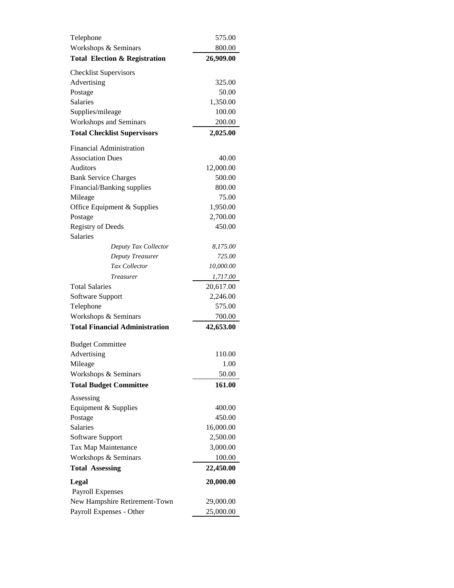| Telephone                                | 575.00    |
|------------------------------------------|-----------|
| Workshops & Seminars                     | 800.00    |
| <b>Total Election &amp; Registration</b> | 26,909.00 |
| <b>Checklist Supervisors</b>             |           |
| Advertising                              | 325.00    |
| Postage                                  | 50.00     |
| Salaries                                 | 1,350.00  |
| Supplies/mileage                         | 100.00    |
| <b>Workshops and Seminars</b>            | 200.00    |
| <b>Total Checklist Supervisors</b>       | 2,025.00  |
| <b>Financial Administration</b>          |           |
| <b>Association Dues</b>                  | 40.00     |
| Auditors                                 | 12,000.00 |
| <b>Bank Service Charges</b>              | 500.00    |
| Financial/Banking supplies               | 800.00    |
| Mileage                                  | 75.00     |
| Office Equipment & Supplies              | 1,950.00  |
| Postage                                  | 2,700.00  |
| Registry of Deeds                        | 450.00    |
| <b>Salaries</b>                          |           |
| Deputy Tax Collector                     | 8,175.00  |
| Deputy Treasurer                         | 725.00    |
| Tax Collector                            | 10,000.00 |
| Treasurer                                | 1,717.00  |
| <b>Total Salaries</b>                    | 20,617.00 |
| Software Support                         | 2,246.00  |
| Telephone                                | 575.00    |
| Workshops & Seminars                     | 700.00    |
| <b>Total Financial Administration</b>    | 42,653.00 |
|                                          |           |
| <b>Budget Committee</b>                  |           |
| Advertising                              | 110.00    |
| Mileage                                  | 1.00      |
| Workshops & Seminars                     | 50.00     |
| <b>Total Budget Committee</b>            | 161.00    |
| Assessing                                |           |
| Equipment & Supplies                     | 400.00    |
| Postage                                  | 450.00    |
| Salaries                                 | 16,000.00 |
| Software Support                         | 2,500.00  |
| Tax Map Maintenance                      | 3,000.00  |
| Workshops & Seminars                     | 100.00    |
| <b>Total Assessing</b>                   | 22,450.00 |
| Legal                                    | 20,000.00 |
| <b>Payroll Expenses</b>                  |           |
| New Hampshire Retirement-Town            | 29,000.00 |
| Payroll Expenses - Other                 | 25,000.00 |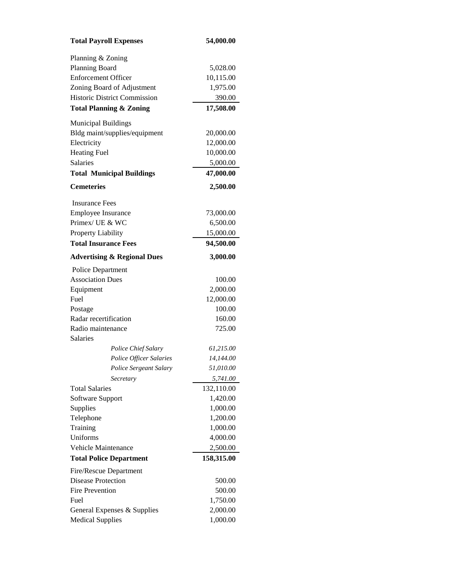| <b>Total Payroll Expenses</b>          | 54,000.00  |
|----------------------------------------|------------|
| Planning & Zoning                      |            |
| Planning Board                         | 5,028.00   |
| <b>Enforcement Officer</b>             | 10,115.00  |
| Zoning Board of Adjustment             | 1,975.00   |
| <b>Historic District Commission</b>    | 390.00     |
| <b>Total Planning &amp; Zoning</b>     | 17,508.00  |
|                                        |            |
| <b>Municipal Buildings</b>             |            |
| Bldg maint/supplies/equipment          | 20,000.00  |
| Electricity                            | 12,000.00  |
| <b>Heating Fuel</b>                    | 10,000.00  |
| <b>Salaries</b>                        | 5,000.00   |
| <b>Total Municipal Buildings</b>       | 47,000.00  |
| <b>Cemeteries</b>                      | 2,500.00   |
| <b>Insurance Fees</b>                  |            |
| <b>Employee Insurance</b>              | 73,000.00  |
| Primex/ UE & WC                        | 6,500.00   |
| Property Liability                     | 15,000.00  |
| <b>Total Insurance Fees</b>            | 94,500.00  |
| <b>Advertising &amp; Regional Dues</b> | 3,000.00   |
| <b>Police Department</b>               |            |
| <b>Association Dues</b>                | 100.00     |
| Equipment                              | 2,000.00   |
| Fuel                                   | 12,000.00  |
| Postage                                | 100.00     |
| Radar recertification                  | 160.00     |
| Radio maintenance                      | 725.00     |
| <b>Salaries</b>                        |            |
| Police Chief Salary                    | 61,215.00  |
| Police Officer Salaries                | 14,144.00  |
| Police Sergeant Salary                 | 51.010.00  |
| Secretary                              | 5,741.00   |
| <b>Total Salaries</b>                  | 132,110.00 |
| Software Support                       | 1,420.00   |
| Supplies                               | 1,000.00   |
| Telephone                              | 1,200.00   |
| Training                               | 1,000.00   |
| Uniforms                               | 4,000.00   |
| Vehicle Maintenance                    | 2,500.00   |
| <b>Total Police Department</b>         | 158,315.00 |
| Fire/Rescue Department                 |            |
| <b>Disease Protection</b>              | 500.00     |
| <b>Fire Prevention</b>                 | 500.00     |
| Fuel                                   | 1,750.00   |
| General Expenses & Supplies            | 2,000.00   |
| <b>Medical Supplies</b>                | 1,000.00   |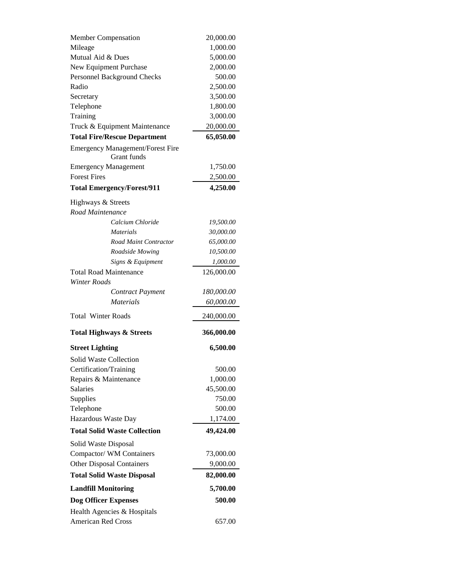| <b>Member Compensation</b>              | 20,000.00  |
|-----------------------------------------|------------|
| Mileage                                 | 1,000.00   |
| Mutual Aid & Dues                       | 5,000.00   |
| New Equipment Purchase                  | 2,000.00   |
| Personnel Background Checks             | 500.00     |
| Radio                                   | 2,500.00   |
| Secretary                               | 3,500.00   |
| Telephone                               | 1,800.00   |
| Training                                | 3,000.00   |
| Truck & Equipment Maintenance           | 20,000.00  |
| <b>Total Fire/Rescue Department</b>     | 65,050.00  |
| <b>Emergency Management/Forest Fire</b> |            |
| Grant funds                             |            |
| <b>Emergency Management</b>             | 1,750.00   |
| <b>Forest Fires</b>                     | 2,500.00   |
| <b>Total Emergency/Forest/911</b>       | 4,250.00   |
| Highways & Streets                      |            |
| Road Maintenance                        |            |
| Calcium Chloride                        | 19,500.00  |
| <b>Materials</b>                        | 30,000.00  |
| Road Maint Contractor                   | 65,000.00  |
| Roadside Mowing                         | 10,500.00  |
| Signs & Equipment                       | 1,000.00   |
| <b>Total Road Maintenance</b>           | 126,000.00 |
| <b>Winter Roads</b>                     |            |
| Contract Payment                        | 180,000.00 |
| <i>Materials</i>                        | 60,000.00  |
| <b>Total Winter Roads</b>               | 240,000.00 |
| <b>Total Highways &amp; Streets</b>     | 366,000.00 |
|                                         |            |
| <b>Street Lighting</b>                  | 6,500.00   |
| Solid Waste Collection                  |            |
| Certification/Training                  | 500.00     |
| Repairs & Maintenance                   | 1,000.00   |
| Salaries                                |            |
| Supplies                                | 45,500.00  |
|                                         | 750.00     |
| Telephone                               | 500.00     |
| Hazardous Waste Day                     | 1,174.00   |
| <b>Total Solid Waste Collection</b>     | 49,424.00  |
| Solid Waste Disposal                    |            |
| Compactor/WM Containers                 | 73,000.00  |
| <b>Other Disposal Containers</b>        | 9,000.00   |
| <b>Total Solid Waste Disposal</b>       | 82,000.00  |
| <b>Landfill Monitoring</b>              | 5,700.00   |
| <b>Dog Officer Expenses</b>             | 500.00     |
| Health Agencies & Hospitals             |            |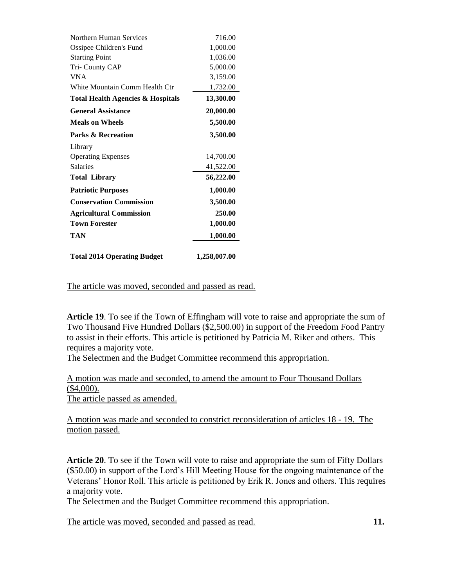| Northern Human Services                      | 716.00       |
|----------------------------------------------|--------------|
| Ossipee Children's Fund                      | 1,000.00     |
| <b>Starting Point</b>                        | 1,036.00     |
| Tri-County CAP                               | 5,000.00     |
| <b>VNA</b>                                   | 3,159.00     |
| White Mountain Comm Health Ctr               | 1,732.00     |
| <b>Total Health Agencies &amp; Hospitals</b> | 13,300.00    |
| <b>General Assistance</b>                    | 20,000.00    |
| <b>Meals on Wheels</b>                       | 5,500.00     |
| <b>Parks &amp; Recreation</b>                | 3,500.00     |
| Library                                      |              |
| <b>Operating Expenses</b>                    | 14,700.00    |
| <b>Salaries</b>                              | 41,522.00    |
| <b>Total Library</b>                         | 56,222.00    |
| <b>Patriotic Purposes</b>                    | 1,000.00     |
| <b>Conservation Commission</b>               | 3,500.00     |
| <b>Agricultural Commission</b>               | 250.00       |
| <b>Town Forester</b>                         | 1,000.00     |
| TAN                                          | 1,000.00     |
| <b>Total 2014 Operating Budget</b>           | 1,258,007.00 |

The article was moved, seconded and passed as read.

**Article 19**. To see if the Town of Effingham will vote to raise and appropriate the sum of Two Thousand Five Hundred Dollars (\$2,500.00) in support of the Freedom Food Pantry to assist in their efforts. This article is petitioned by Patricia M. Riker and others. This requires a majority vote.

The Selectmen and the Budget Committee recommend this appropriation.

A motion was made and seconded, to amend the amount to Four Thousand Dollars (\$4,000). The article passed as amended.

A motion was made and seconded to constrict reconsideration of articles 18 - 19. The motion passed.

**Article 20**. To see if the Town will vote to raise and appropriate the sum of Fifty Dollars (\$50.00) in support of the Lord's Hill Meeting House for the ongoing maintenance of the Veterans' Honor Roll. This article is petitioned by Erik R. Jones and others. This requires a majority vote.

The Selectmen and the Budget Committee recommend this appropriation.

The article was moved, seconded and passed as read. **11.**